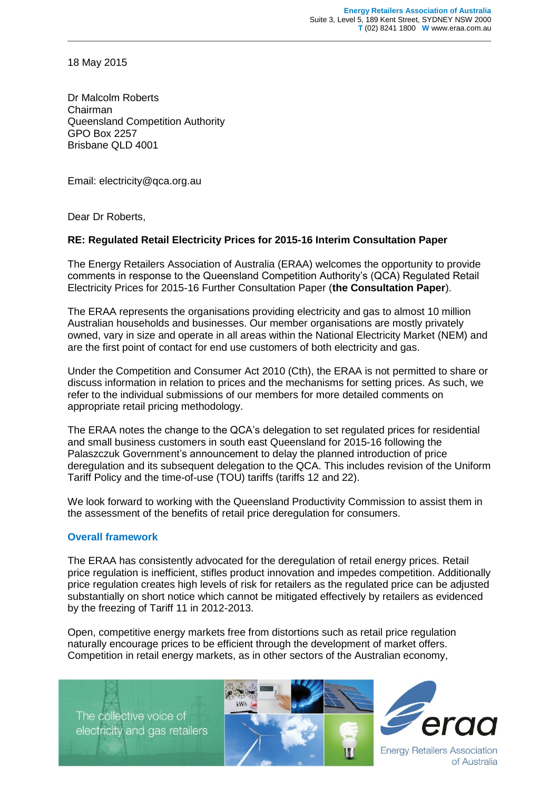18 May 2015

Dr Malcolm Roberts Chairman Queensland Competition Authority GPO Box 2257 Brisbane QLD 4001

Email: electricity@qca.org.au

Dear Dr Roberts,

### **RE: Regulated Retail Electricity Prices for 2015-16 Interim Consultation Paper**

The Energy Retailers Association of Australia (ERAA) welcomes the opportunity to provide comments in response to the Queensland Competition Authority's (QCA) Regulated Retail Electricity Prices for 2015-16 Further Consultation Paper (**the Consultation Paper**).

The ERAA represents the organisations providing electricity and gas to almost 10 million Australian households and businesses. Our member organisations are mostly privately owned, vary in size and operate in all areas within the National Electricity Market (NEM) and are the first point of contact for end use customers of both electricity and gas.

Under the Competition and Consumer Act 2010 (Cth), the ERAA is not permitted to share or discuss information in relation to prices and the mechanisms for setting prices. As such, we refer to the individual submissions of our members for more detailed comments on appropriate retail pricing methodology.

The ERAA notes the change to the QCA's delegation to set regulated prices for residential and small business customers in south east Queensland for 2015-16 following the Palaszczuk Government's announcement to delay the planned introduction of price deregulation and its subsequent delegation to the QCA. This includes revision of the Uniform Tariff Policy and the time-of-use (TOU) tariffs (tariffs 12 and 22).

We look forward to working with the Queensland Productivity Commission to assist them in the assessment of the benefits of retail price deregulation for consumers.

### **Overall framework**

The ERAA has consistently advocated for the deregulation of retail energy prices. Retail price regulation is inefficient, stifles product innovation and impedes competition. Additionally price regulation creates high levels of risk for retailers as the regulated price can be adjusted substantially on short notice which cannot be mitigated effectively by retailers as evidenced by the freezing of Tariff 11 in 2012-2013.

Open, competitive energy markets free from distortions such as retail price regulation naturally encourage prices to be efficient through the development of market offers. Competition in retail energy markets, as in other sectors of the Australian economy,

The collective voice of electricity and gas retailers





of Australia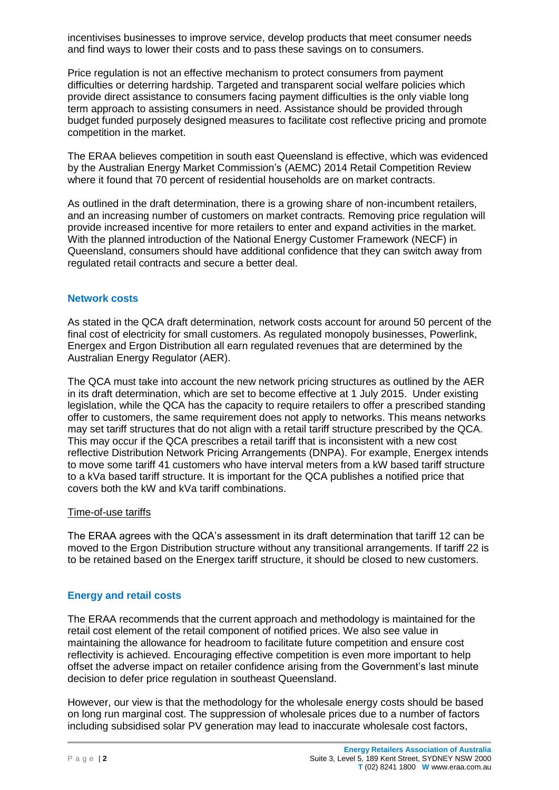incentivises businesses to improve service, develop products that meet consumer needs and find ways to lower their costs and to pass these savings on to consumers.

Price regulation is not an effective mechanism to protect consumers from payment difficulties or deterring hardship. Targeted and transparent social welfare policies which provide direct assistance to consumers facing payment difficulties is the only viable long term approach to assisting consumers in need. Assistance should be provided through budget funded purposely designed measures to facilitate cost reflective pricing and promote competition in the market.

The ERAA believes competition in south east Queensland is effective, which was evidenced by the Australian Energy Market Commission's (AEMC) 2014 Retail Competition Review where it found that 70 percent of residential households are on market contracts.

As outlined in the draft determination, there is a growing share of non-incumbent retailers, and an increasing number of customers on market contracts. Removing price regulation will provide increased incentive for more retailers to enter and expand activities in the market. With the planned introduction of the National Energy Customer Framework (NECF) in Queensland, consumers should have additional confidence that they can switch away from regulated retail contracts and secure a better deal.

## **Network costs**

As stated in the QCA draft determination, network costs account for around 50 percent of the final cost of electricity for small customers. As regulated monopoly businesses, Powerlink, Energex and Ergon Distribution all earn regulated revenues that are determined by the Australian Energy Regulator (AER).

The QCA must take into account the new network pricing structures as outlined by the AER in its draft determination, which are set to become effective at 1 July 2015. Under existing legislation, while the QCA has the capacity to require retailers to offer a prescribed standing offer to customers, the same requirement does not apply to networks. This means networks may set tariff structures that do not align with a retail tariff structure prescribed by the QCA. This may occur if the QCA prescribes a retail tariff that is inconsistent with a new cost reflective Distribution Network Pricing Arrangements (DNPA). For example, Energex intends to move some tariff 41 customers who have interval meters from a kW based tariff structure to a kVa based tariff structure. It is important for the QCA publishes a notified price that covers both the kW and kVa tariff combinations.

### Time-of-use tariffs

The ERAA agrees with the QCA's assessment in its draft determination that tariff 12 can be moved to the Ergon Distribution structure without any transitional arrangements. If tariff 22 is to be retained based on the Energex tariff structure, it should be closed to new customers.

# **Energy and retail costs**

The ERAA recommends that the current approach and methodology is maintained for the retail cost element of the retail component of notified prices. We also see value in maintaining the allowance for headroom to facilitate future competition and ensure cost reflectivity is achieved. Encouraging effective competition is even more important to help offset the adverse impact on retailer confidence arising from the Government's last minute decision to defer price regulation in southeast Queensland.

However, our view is that the methodology for the wholesale energy costs should be based on long run marginal cost. The suppression of wholesale prices due to a number of factors including subsidised solar PV generation may lead to inaccurate wholesale cost factors,